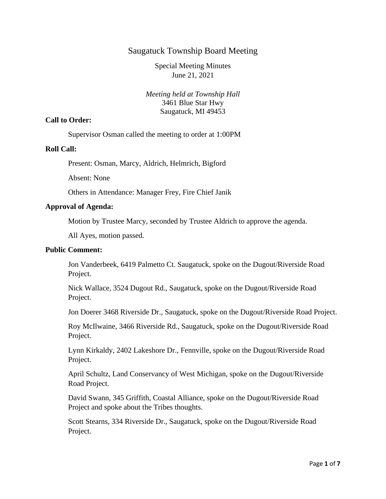# Saugatuck Township Board Meeting

Special Meeting Minutes June 21, 2021

*Meeting held at Township Hall* 3461 Blue Star Hwy Saugatuck, MI 49453

#### **Call to Order:**

Supervisor Osman called the meeting to order at 1:00PM

#### **Roll Call:**

Present: Osman, Marcy, Aldrich, Helmrich, Bigford

Absent: None

Others in Attendance: Manager Frey, Fire Chief Janik

#### **Approval of Agenda:**

Motion by Trustee Marcy*,* seconded by Trustee Aldrich to approve the agenda.

All Ayes, motion passed.

### **Public Comment:**

Jon Vanderbeek, 6419 Palmetto Ct. Saugatuck, spoke on the Dugout/Riverside Road Project.

Nick Wallace, 3524 Dugout Rd., Saugatuck, spoke on the Dugout/Riverside Road Project.

Jon Doerer 3468 Riverside Dr., Saugatuck, spoke on the Dugout/Riverside Road Project.

Roy McIlwaine, 3466 Riverside Rd., Saugatuck, spoke on the Dugout/Riverside Road Project.

Lynn Kirkaldy, 2402 Lakeshore Dr., Fennville, spoke on the Dugout/Riverside Road Project.

April Schultz, Land Conservancy of West Michigan, spoke on the Dugout/Riverside Road Project.

David Swann, 345 Griffith, Coastal Alliance, spoke on the Dugout/Riverside Road Project and spoke about the Tribes thoughts.

Scott Stearns, 334 Riverside Dr., Saugatuck, spoke on the Dugout/Riverside Road Project.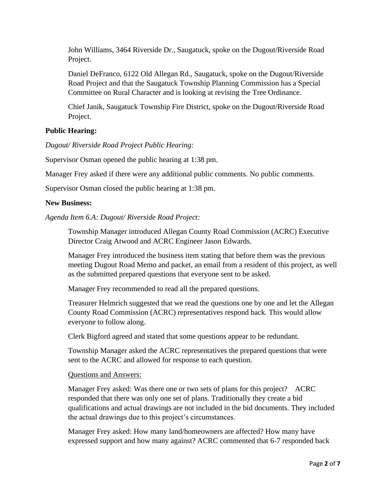John Williams, 3464 Riverside Dr., Saugatuck, spoke on the Dugout/Riverside Road Project.

Daniel DeFranco, 6122 Old Allegan Rd., Saugatuck, spoke on the Dugout/Riverside Road Project and that the Saugatuck Township Planning Commission has a Special Committee on Rural Character and is looking at revising the Tree Ordinance.

Chief Janik, Saugatuck Township Fire District, spoke on the Dugout/Riverside Road Project.

# **Public Hearing:**

*Dugout/ Riverside Road Project Public Hearing:*

Supervisor Osman opened the public hearing at 1:38 pm.

Manager Frey asked if there were any additional public comments. No public comments.

Supervisor Osman closed the public hearing at 1:38 pm.

# **New Business:**

*Agenda Item 6.A: Dugout/ Riverside Road Project:* 

Township Manager introduced Allegan County Road Commission (ACRC) Executive Director Craig Atwood and ACRC Engineer Jason Edwards.

Manager Frey introduced the business item stating that before them was the previous meeting Dugout Road Memo and packet, an email from a resident of this project, as well as the submitted prepared questions that everyone sent to be asked.

Manager Frey recommended to read all the prepared questions.

Treasurer Helmrich suggested that we read the questions one by one and let the Allegan County Road Commission (ACRC) representatives respond back. This would allow everyone to follow along.

Clerk Bigford agreed and stated that some questions appear to be redundant.

Township Manager asked the ACRC representatives the prepared questions that were sent to the ACRC and allowed for response to each question.

Questions and Answers:

Manager Frey asked: Was there one or two sets of plans for this project? ACRC responded that there was only one set of plans. Traditionally they create a bid qualifications and actual drawings are not included in the bid documents. They included the actual drawings due to this project's circumstances.

Manager Frey asked: How many land/homeowners are affected? How many have expressed support and how many against? ACRC commented that 6-7 responded back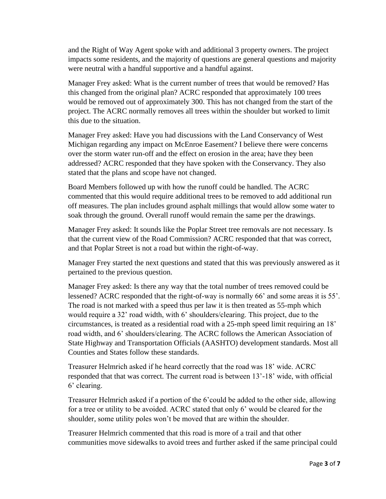and the Right of Way Agent spoke with and additional 3 property owners. The project impacts some residents, and the majority of questions are general questions and majority were neutral with a handful supportive and a handful against.

Manager Frey asked: What is the current number of trees that would be removed? Has this changed from the original plan? ACRC responded that approximately 100 trees would be removed out of approximately 300. This has not changed from the start of the project. The ACRC normally removes all trees within the shoulder but worked to limit this due to the situation.

Manager Frey asked: Have you had discussions with the Land Conservancy of West Michigan regarding any impact on McEnroe Easement? I believe there were concerns over the storm water run-off and the effect on erosion in the area; have they been addressed? ACRC responded that they have spoken with the Conservancy. They also stated that the plans and scope have not changed.

Board Members followed up with how the runoff could be handled. The ACRC commented that this would require additional trees to be removed to add additional run off measures. The plan includes ground asphalt millings that would allow some water to soak through the ground. Overall runoff would remain the same per the drawings.

Manager Frey asked: It sounds like the Poplar Street tree removals are not necessary. Is that the current view of the Road Commission? ACRC responded that that was correct, and that Poplar Street is not a road but within the right-of-way.

Manager Frey started the next questions and stated that this was previously answered as it pertained to the previous question.

Manager Frey asked: Is there any way that the total number of trees removed could be lessened? ACRC responded that the right-of-way is normally 66' and some areas it is 55'. The road is not marked with a speed thus per law it is then treated as 55-mph which would require a 32' road width, with 6' shoulders/clearing. This project, due to the circumstances, is treated as a residential road with a 25-mph speed limit requiring an 18' road width, and 6' shoulders/clearing. The ACRC follows the American Association of State Highway and Transportation Officials (AASHTO) development standards. Most all Counties and States follow these standards.

Treasurer Helmrich asked if he heard correctly that the road was 18' wide. ACRC responded that that was correct. The current road is between 13'-18' wide, with official 6' clearing.

Treasurer Helmrich asked if a portion of the 6'could be added to the other side, allowing for a tree or utility to be avoided. ACRC stated that only 6' would be cleared for the shoulder, some utility poles won't be moved that are within the shoulder.

Treasurer Helmrich commented that this road is more of a trail and that other communities move sidewalks to avoid trees and further asked if the same principal could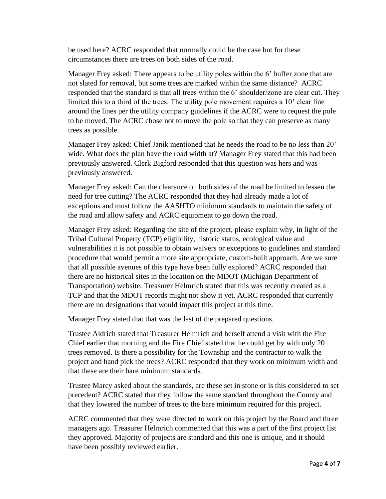be used here? ACRC responded that normally could be the case but for these circumstances there are trees on both sides of the road.

Manager Frey asked: There appears to be utility poles within the 6' buffer zone that are not slated for removal, but some trees are marked within the same distance? ACRC responded that the standard is that all trees within the 6' shoulder/zone are clear cut. They limited this to a third of the trees. The utility pole movement requires a 10' clear line around the lines per the utility company guidelines if the ACRC were to request the pole to be moved. The ACRC chose not to move the pole so that they can preserve as many trees as possible.

Manager Frey asked: Chief Janik mentioned that he needs the road to be no less than 20' wide. What does the plan have the road width at? Manager Frey stated that this had been previously answered. Clerk Bigford responded that this question was hers and was previously answered.

Manager Frey asked: Can the clearance on both sides of the road be limited to lessen the need for tree cutting? The ACRC responded that they had already made a lot of exceptions and must follow the AASHTO minimum standards to maintain the safety of the road and allow safety and ACRC equipment to go down the road.

Manager Frey asked: Regarding the site of the project, please explain why, in light of the Tribal Cultural Property (TCP) eligibility, historic status, ecological value and vulnerabilities it is not possible to obtain waivers or exceptions to guidelines and standard procedure that would permit a more site appropriate, custom-built approach. Are we sure that all possible avenues of this type have been fully explored? ACRC responded that there are no historical sites in the location on the MDOT (Michigan Department of Transportation) website. Treasurer Helmrich stated that this was recently created as a TCP and that the MDOT records might not show it yet. ACRC responded that currently there are no designations that would impact this project at this time.

Manager Frey stated that that was the last of the prepared questions.

Trustee Aldrich stated that Treasurer Helmrich and herself attend a visit with the Fire Chief earlier that morning and the Fire Chief stated that he could get by with only 20 trees removed. Is there a possibility for the Township and the contractor to walk the project and hand pick the trees? ACRC responded that they work on minimum width and that these are their bare minimum standards.

Trustee Marcy asked about the standards, are these set in stone or is this considered to set precedent? ACRC stated that they follow the same standard throughout the County and that they lowered the number of trees to the bare minimum required for this project.

ACRC commented that they were directed to work on this project by the Board and three managers ago. Treasurer Helmrich commented that this was a part of the first project list they approved. Majority of projects are standard and this one is unique, and it should have been possibly reviewed earlier.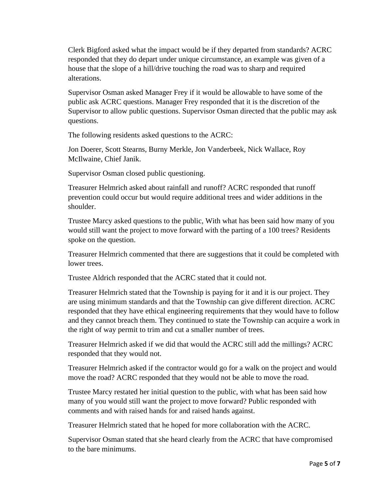Clerk Bigford asked what the impact would be if they departed from standards? ACRC responded that they do depart under unique circumstance, an example was given of a house that the slope of a hill/drive touching the road was to sharp and required alterations.

Supervisor Osman asked Manager Frey if it would be allowable to have some of the public ask ACRC questions. Manager Frey responded that it is the discretion of the Supervisor to allow public questions. Supervisor Osman directed that the public may ask questions.

The following residents asked questions to the ACRC:

Jon Doerer, Scott Stearns, Burny Merkle, Jon Vanderbeek, Nick Wallace, Roy McIlwaine, Chief Janik.

Supervisor Osman closed public questioning.

Treasurer Helmrich asked about rainfall and runoff? ACRC responded that runoff prevention could occur but would require additional trees and wider additions in the shoulder.

Trustee Marcy asked questions to the public, With what has been said how many of you would still want the project to move forward with the parting of a 100 trees? Residents spoke on the question.

Treasurer Helmrich commented that there are suggestions that it could be completed with lower trees.

Trustee Aldrich responded that the ACRC stated that it could not.

Treasurer Helmrich stated that the Township is paying for it and it is our project. They are using minimum standards and that the Township can give different direction. ACRC responded that they have ethical engineering requirements that they would have to follow and they cannot breach them. They continued to state the Township can acquire a work in the right of way permit to trim and cut a smaller number of trees.

Treasurer Helmrich asked if we did that would the ACRC still add the millings? ACRC responded that they would not.

Treasurer Helmrich asked if the contractor would go for a walk on the project and would move the road? ACRC responded that they would not be able to move the road.

Trustee Marcy restated her initial question to the public, with what has been said how many of you would still want the project to move forward? Public responded with comments and with raised hands for and raised hands against.

Treasurer Helmrich stated that he hoped for more collaboration with the ACRC.

Supervisor Osman stated that she heard clearly from the ACRC that have compromised to the bare minimums.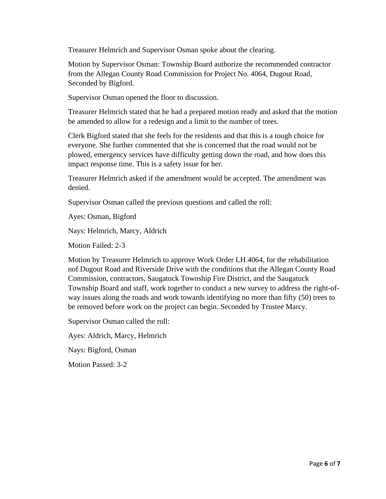Treasurer Helmrich and Supervisor Osman spoke about the clearing.

Motion by Supervisor Osman: Township Board authorize the recommended contractor from the Allegan County Road Commission for Project No. 4064, Dugout Road, Seconded by Bigford.

Supervisor Osman opened the floor to discussion.

Treasurer Helmrich stated that he had a prepared motion ready and asked that the motion be amended to allow for a redesign and a limit to the number of trees.

Clerk Bigford stated that she feels for the residents and that this is a tough choice for everyone. She further commented that she is concerned that the road would not be plowed, emergency services have difficulty getting down the road, and how does this impact response time. This is a safety issue for her.

Treasurer Helmrich asked if the amendment would be accepted. The amendment was denied.

Supervisor Osman called the previous questions and called the roll:

Ayes: Osman, Bigford

Nays: Helmrich, Marcy, Aldrich

Motion Failed: 2-3

Motion by Treasurer Helmrich to approve Work Order LH 4064, for the rehabilitation nof Dugout Road and Riverside Drive with the conditions that the Allegan County Road Commission, contractors, Saugatuck Township Fire District, and the Saugatuck Township Board and staff, work together to conduct a new survey to address the right-ofway issues along the roads and work towards identifying no more than fifty (50) trees to be removed before work on the project can begin. Seconded by Trustee Marcy.

Supervisor Osman called the roll:

Ayes: Aldrich, Marcy, Helmrich

Nays: Bigford, Osman

Motion Passed: 3-2